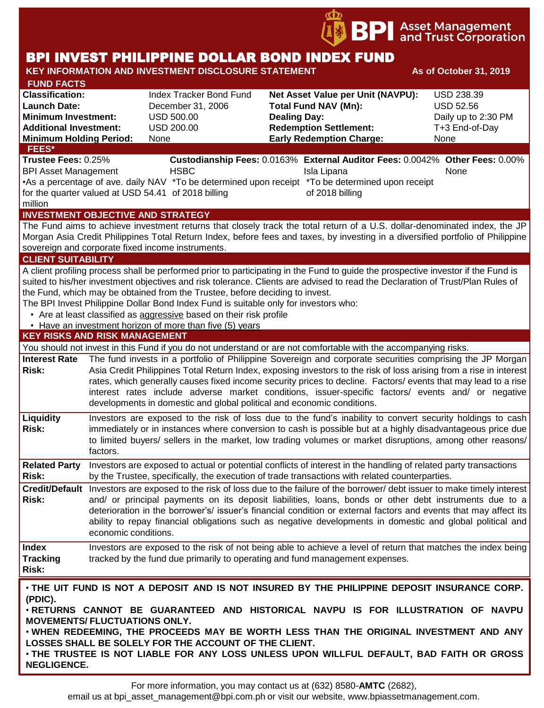

# BPI INVEST PHILIPPINE DOLLAR BOND INDEX FUND

#### KEY INFORMATION AND INVESTMENT DISCLOSURE STATEMENT **And As of October 31, 2019 FUND FACTS Classification:** Index Tracker Bond Fund **Net Asset Value per Unit (NAVPU):** USD 238.39 **Launch Date:** December 31, 2006 **Total Fund NAV (Mn):** USD 52.56 **Minimum Investment:** USD 500.00 **Dealing Day:** Daily up to 2:30 PM **Additional Investment:** USD 200.00 **Redemption Settlement:** T+3 End-of-Day **Minimum Holding Period:** None **Early Redemption Charge:** None **KEY RISKS AND RISK MANAGEMENT**  You should not invest in this Fund if you do not understand or are not comfortable with the accompanying risks. **Interest Rate**  The fund invests in a portfolio of Philippine Sovereign and corporate securities comprising the JP Morgan **Risk:** Asia Credit Philippines Total Return Index, exposing investors to the risk of loss arising from a rise in interest rates, which generally causes fixed income security prices to decline. Factors/ events that may lead to a rise interest rates include adverse market conditions, issuer-specific factors/ events and/ or negative developments in domestic and global political and economic conditions. **Liquidity Risk:** Investors are exposed to the risk of loss due to the fund's inability to convert security holdings to cash immediately or in instances where conversion to cash is possible but at a highly disadvantageous price due to limited buyers/ sellers in the market, low trading volumes or market disruptions, among other reasons/ factors. **Related Party**  Investors are exposed to actual or potential conflicts of interest in the handling of related party transactions **Risk:** by the Trustee, specifically, the execution of trade transactions with related counterparties. **Credit/Default**  Investors are exposed to the risk of loss due to the failure of the borrower/ debt issuer to make timely interest **Risk:** and/ or principal payments on its deposit liabilities, loans, bonds or other debt instruments due to a deterioration in the borrower's/ issuer's financial condition or external factors and events that may affect its ability to repay financial obligations such as negative developments in domestic and global political and economic conditions. **Index Tracking Risk:** Investors are exposed to the risk of not being able to achieve a level of return that matches the index being tracked by the fund due primarily to operating and fund management expenses. **INVESTMENT OBJECTIVE AND STRATEGY** The Fund aims to achieve investment returns that closely track the total return of a U.S. dollar-denominated index, the JP Morgan Asia Credit Philippines Total Return Index, before fees and taxes, by investing in a diversified portfolio of Philippine sovereign and corporate fixed income instruments. **CLIENT SUITABILITY** A client profiling process shall be performed prior to participating in the Fund to guide the prospective investor if the Fund is suited to his/her investment objectives and risk tolerance. Clients are advised to read the Declaration of Trust/Plan Rules of the Fund, which may be obtained from the Trustee, before deciding to invest. The BPI Invest Philippine Dollar Bond Index Fund is suitable only for investors who: • Are at least classified as aggressive based on their risk profile • Have an investment horizon of more than five (5) years • **THE UIT FUND IS NOT A DEPOSIT AND IS NOT INSURED BY THE PHILIPPINE DEPOSIT INSURANCE CORP. (PDIC).** • **RETURNS CANNOT BE GUARANTEED AND HISTORICAL NAVPU IS FOR ILLUSTRATION OF NAVPU MOVEMENTS/ FLUCTUATIONS ONLY.** • **WHEN REDEEMING, THE PROCEEDS MAY BE WORTH LESS THAN THE ORIGINAL INVESTMENT AND ANY LOSSES SHALL BE SOLELY FOR THE ACCOUNT OF THE CLIENT.** • **THE TRUSTEE IS NOT LIABLE FOR ANY LOSS UNLESS UPON WILLFUL DEFAULT, BAD FAITH OR GROSS NEGLIGENCE. FEES\* Trustee Fees:** 0.25% **Custodianship Fees:** 0.0163% **External Auditor Fees:** 0.0042% **Other Fees:** 0.00% BPI Asset Management **HSBC Isla Lipana** Isla Lipana None • As a percentage of ave. daily NAV \* To be determined upon receipt \* To be determined upon receipt for the quarter valued at USD 54.41 of 2018 billing million of 2018 billing

For more information, you may contact us at (632) 8580-**AMTC** (2682),

email us at bpi\_asset\_management@bpi.com.ph or visit our website, www.bpiassetmanagement.com.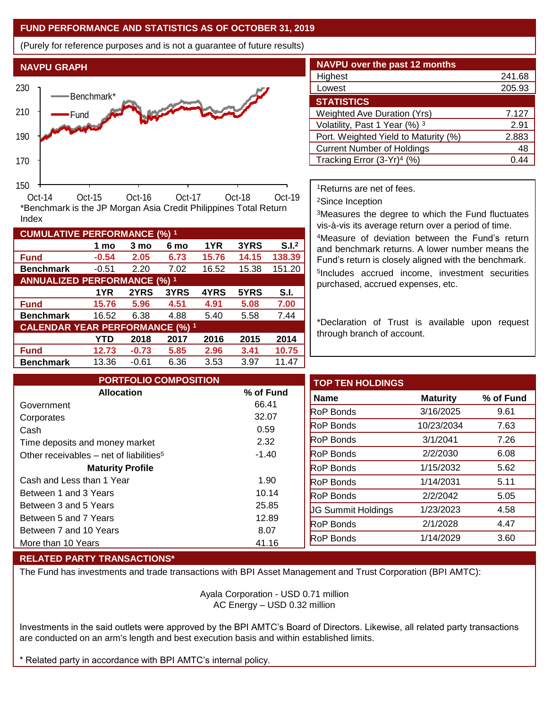# **FUND PERFORMANCE AND STATISTICS AS OF OCTOBER 31, 2019**

**1 mo 3 mo 6 mo 1YR 3YRS S.I.<sup>2</sup>**

**1YR 2YRS 3YRS 4YRS 5YRS S.I.**

**YTD 2018 2017 2016 2015 2014**

(Purely for reference purposes and is not a guarantee of future results)



**Fund -0.54 2.05 6.73 15.76 14.15 138.39 Benchmark** -0.51 2.20 7.02 16.52 15.38 151.20

\*Benchmark is the JP Morgan Asia Credit Philippines Total Return

**Fund 15.76 5.96 4.51 4.91 5.08 7.00 Benchmark** 16.52 6.38 4.88 5.40 5.58 7.44

**Fund 12.73 -0.73 5.85 2.96 3.41 10.75 Benchmark** 13.36 -0.61 6.36 3.53 3.97 11.47

| <b>NAVPU over the past 12 months</b>   |        |
|----------------------------------------|--------|
| Highest                                | 241.68 |
| Lowest                                 | 205.93 |
| <b>STATISTICS</b>                      |        |
| <b>Weighted Ave Duration (Yrs)</b>     | 7.127  |
| Volatility, Past 1 Year (%) 3          | 2.91   |
| Port. Weighted Yield to Maturity (%)   | 2.883  |
| <b>Current Number of Holdings</b>      | 48     |
| Tracking Error (3-Yr) <sup>4</sup> (%) | በ 4    |

<sup>1</sup>Returns are net of fees.

<sup>2</sup>Since Inception

<sup>3</sup>Measures the degree to which the Fund fluctuates vis-à-vis its average return over a period of time.

<sup>4</sup>Measure of deviation between the Fund's return and benchmark returns. A lower number means the Fund's return is closely aligned with the benchmark. 5 Includes accrued income, investment securities purchased, accrued expenses, etc.

\*Declaration of Trust is available upon request through branch of account.

| <b>PORTFOLIO COMPOSITION</b>                        |           | <b>TOP TEN HOLDINGS</b>   |                 |
|-----------------------------------------------------|-----------|---------------------------|-----------------|
| <b>Allocation</b>                                   | % of Fund | <b>Name</b>               | <b>Maturity</b> |
| Government                                          | 66.41     | <b>RoP Bonds</b>          | 3/16/2025       |
| Corporates                                          | 32.07     | <b>RoP Bonds</b>          | 10/23/2034      |
| Cash                                                | 0.59      |                           |                 |
| Time deposits and money market                      | 2.32      | <b>RoP</b> Bonds          | 3/1/2041        |
| Other receivables – net of liabilities <sup>5</sup> | $-1.40$   | <b>RoP Bonds</b>          | 2/2/2030        |
| <b>Maturity Profile</b>                             |           | <b>RoP Bonds</b>          | 1/15/2032       |
| Cash and Less than 1 Year                           | 1.90      | <b>RoP Bonds</b>          | 1/14/2031       |
| Between 1 and 3 Years                               | 10.14     | <b>RoP Bonds</b>          | 2/2/2042        |
| Between 3 and 5 Years                               | 25.85     | <b>UG Summit Holdings</b> | 1/23/2023       |
| Between 5 and 7 Years                               | 12.89     | <b>RoP Bonds</b>          | 2/1/2028        |
| Between 7 and 10 Years                              | 8.07      |                           |                 |
| More than 10 Years                                  | 41.16     | <b>RoP Bonds</b>          | 1/14/2029       |

## **RELATED PARTY TRANSACTIONS\***

**CUMULATIVE PERFORMANCE (%) <sup>1</sup>**

Index

**ANNUALIZED PERFORMANCE (%) <sup>1</sup>**

**CALENDAR YEAR PERFORMANCE (%) <sup>1</sup>**

The Fund has investments and trade transactions with BPI Asset Management and Trust Corporation (BPI AMTC):

Ayala Corporation - USD 0.71 million AC Energy – USD 0.32 million

Investments in the said outlets were approved by the BPI AMTC's Board of Directors. Likewise, all related party transactions are conducted on an arm's length and best execution basis and within established limits.

Related party in accordance with BPI AMTC's internal policy.